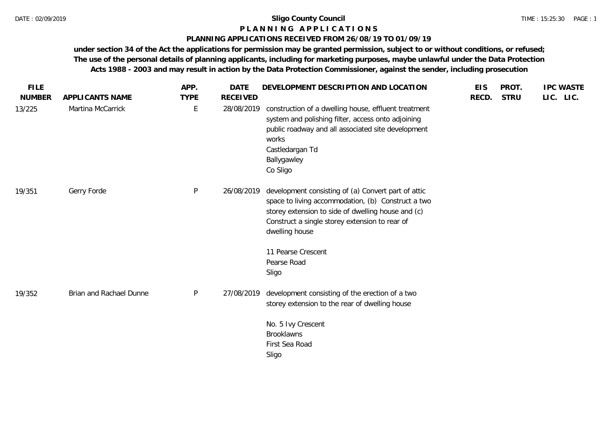### **P L A N N I N G A P P L I C A T I O N S**

#### **PLANNING APPLICATIONS RECEIVED FROM 26/08/19 TO 01/09/19**

**under section 34 of the Act the applications for permission may be granted permission, subject to or without conditions, or refused; The use of the personal details of planning applicants, including for marketing purposes, maybe unlawful under the Data Protection Acts 1988 - 2003 and may result in action by the Data Protection Commissioner, against the sender, including prosecution**

| <b>FILE</b>             |                                      | APP.                       | <b>DATE</b>                   | DEVELOPMENT DESCRIPTION AND LOCATION                                                                                                                                                                                                | <b>EIS</b> | PROT.       | <b>IPC WASTE</b> |
|-------------------------|--------------------------------------|----------------------------|-------------------------------|-------------------------------------------------------------------------------------------------------------------------------------------------------------------------------------------------------------------------------------|------------|-------------|------------------|
| <b>NUMBER</b><br>13/225 | APPLICANTS NAME<br>Martina McCarrick | <b>TYPE</b><br>$\mathsf E$ | <b>RECEIVED</b><br>28/08/2019 | construction of a dwelling house, effluent treatment<br>system and polishing filter, access onto adjoining<br>public roadway and all associated site development<br>works<br>Castledargan Td<br>Ballygawley<br>Co Sligo             | RECD.      | <b>STRU</b> | LIC. LIC.        |
| 19/351                  | Gerry Forde                          | $\mathsf{P}$               | 26/08/2019                    | development consisting of (a) Convert part of attic<br>space to living accommodation, (b) Construct a two<br>storey extension to side of dwelling house and (c)<br>Construct a single storey extension to rear of<br>dwelling house |            |             |                  |
|                         |                                      |                            |                               | 11 Pearse Crescent<br>Pearse Road<br>Sligo                                                                                                                                                                                          |            |             |                  |
| 19/352                  | Brian and Rachael Dunne              | P                          | 27/08/2019                    | development consisting of the erection of a two<br>storey extension to the rear of dwelling house                                                                                                                                   |            |             |                  |
|                         |                                      |                            |                               | No. 5 Ivy Crescent<br><b>Brooklawns</b><br>First Sea Road<br>Sligo                                                                                                                                                                  |            |             |                  |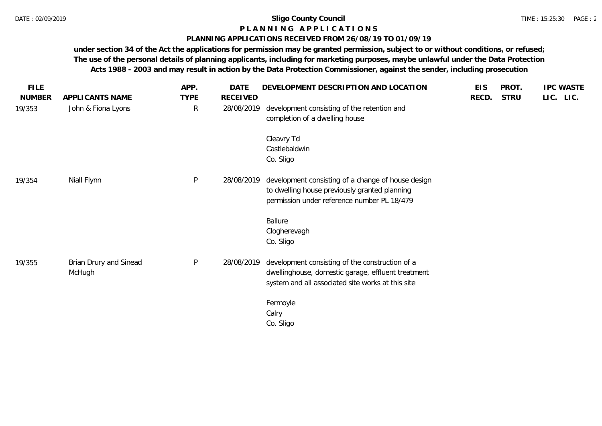# **P L A N N I N G A P P L I C A T I O N S**

### **PLANNING APPLICATIONS RECEIVED FROM 26/08/19 TO 01/09/19**

**under section 34 of the Act the applications for permission may be granted permission, subject to or without conditions, or refused; The use of the personal details of planning applicants, including for marketing purposes, maybe unlawful under the Data Protection Acts 1988 - 2003 and may result in action by the Data Protection Commissioner, against the sender, including prosecution**

| <b>FILE</b>   |                        | APP.         | DATE            | DEVELOPMENT DESCRIPTION AND LOCATION                                          | <b>EIS</b> | PROT.       | <b>IPC WASTE</b> |
|---------------|------------------------|--------------|-----------------|-------------------------------------------------------------------------------|------------|-------------|------------------|
| <b>NUMBER</b> | APPLICANTS NAME        | <b>TYPE</b>  | <b>RECEIVED</b> |                                                                               | RECD.      | <b>STRU</b> | LIC. LIC.        |
| 19/353        | John & Fiona Lyons     | $\mathsf{R}$ | 28/08/2019      | development consisting of the retention and<br>completion of a dwelling house |            |             |                  |
|               |                        |              |                 | Cleavry Td                                                                    |            |             |                  |
|               |                        |              |                 | Castlebaldwin                                                                 |            |             |                  |
|               |                        |              |                 | Co. Sligo                                                                     |            |             |                  |
| 19/354        | Niall Flynn            | P            | 28/08/2019      | development consisting of a change of house design                            |            |             |                  |
|               |                        |              |                 | to dwelling house previously granted planning                                 |            |             |                  |
|               |                        |              |                 | permission under reference number PL 18/479                                   |            |             |                  |
|               |                        |              |                 | Ballure                                                                       |            |             |                  |
|               |                        |              |                 | Clogherevagh                                                                  |            |             |                  |
|               |                        |              |                 | Co. Sligo                                                                     |            |             |                  |
| 19/355        | Brian Drury and Sinead | $\sf P$      | 28/08/2019      | development consisting of the construction of a                               |            |             |                  |
|               | McHugh                 |              |                 | dwellinghouse, domestic garage, effluent treatment                            |            |             |                  |
|               |                        |              |                 | system and all associated site works at this site                             |            |             |                  |
|               |                        |              |                 | Fermoyle                                                                      |            |             |                  |
|               |                        |              |                 | Calry                                                                         |            |             |                  |
|               |                        |              |                 | Co. Sligo                                                                     |            |             |                  |
|               |                        |              |                 |                                                                               |            |             |                  |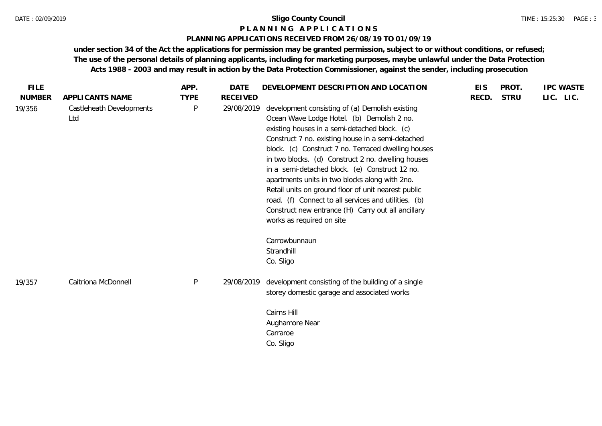#### **P L A N N I N G A P P L I C A T I O N S**

### **PLANNING APPLICATIONS RECEIVED FROM 26/08/19 TO 01/09/19**

**under section 34 of the Act the applications for permission may be granted permission, subject to or without conditions, or refused; The use of the personal details of planning applicants, including for marketing purposes, maybe unlawful under the Data Protection Acts 1988 - 2003 and may result in action by the Data Protection Commissioner, against the sender, including prosecution**

| <b>FILE</b>   |                                 | APP.         | <b>DATE</b>     | DEVELOPMENT DESCRIPTION AND LOCATION                                                                                                                                                                                                                                                                                                                                                                                                                                                                                                                                                                                   | <b>EIS</b> | PROT.       | <b>IPC WASTE</b> |
|---------------|---------------------------------|--------------|-----------------|------------------------------------------------------------------------------------------------------------------------------------------------------------------------------------------------------------------------------------------------------------------------------------------------------------------------------------------------------------------------------------------------------------------------------------------------------------------------------------------------------------------------------------------------------------------------------------------------------------------------|------------|-------------|------------------|
| <b>NUMBER</b> | APPLICANTS NAME                 | <b>TYPE</b>  | <b>RECEIVED</b> |                                                                                                                                                                                                                                                                                                                                                                                                                                                                                                                                                                                                                        | RECD.      | <b>STRU</b> | LIC. LIC.        |
| 19/356        | Castleheath Developments<br>Ltd | $\mathsf{P}$ | 29/08/2019      | development consisting of (a) Demolish existing<br>Ocean Wave Lodge Hotel. (b) Demolish 2 no.<br>existing houses in a semi-detached block. (c)<br>Construct 7 no. existing house in a semi-detached<br>block. (c) Construct 7 no. Terraced dwelling houses<br>in two blocks. (d) Construct 2 no. dwelling houses<br>in a semi-detached block. (e) Construct 12 no.<br>apartments units in two blocks along with 2no.<br>Retail units on ground floor of unit nearest public<br>road. (f) Connect to all services and utilities. (b)<br>Construct new entrance (H) Carry out all ancillary<br>works as required on site |            |             |                  |
|               |                                 |              |                 | Carrowbunnaun<br>Strandhill<br>Co. Sligo                                                                                                                                                                                                                                                                                                                                                                                                                                                                                                                                                                               |            |             |                  |
| 19/357        | Caitriona McDonnell             | $\sf P$      | 29/08/2019      | development consisting of the building of a single<br>storey domestic garage and associated works                                                                                                                                                                                                                                                                                                                                                                                                                                                                                                                      |            |             |                  |
|               |                                 |              |                 | Cairns Hill<br>Aughamore Near<br>Carraroe<br>Co. Sligo                                                                                                                                                                                                                                                                                                                                                                                                                                                                                                                                                                 |            |             |                  |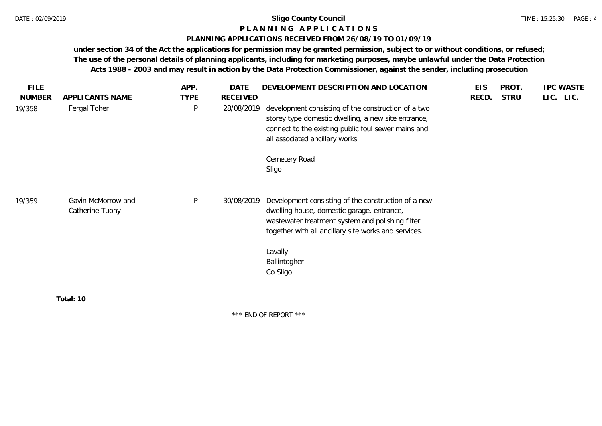#### **P L A N N I N G A P P L I C A T I O N S**

#### **PLANNING APPLICATIONS RECEIVED FROM 26/08/19 TO 01/09/19**

**under section 34 of the Act the applications for permission may be granted permission, subject to or without conditions, or refused; The use of the personal details of planning applicants, including for marketing purposes, maybe unlawful under the Data Protection Acts 1988 - 2003 and may result in action by the Data Protection Commissioner, against the sender, including prosecution**

| <b>FILE</b>   |                                       | APP.         | DATE            | DEVELOPMENT DESCRIPTION AND LOCATION                                                                                                                                                                                                     | <b>EIS</b> | PROT.       | <b>IPC WASTE</b> |
|---------------|---------------------------------------|--------------|-----------------|------------------------------------------------------------------------------------------------------------------------------------------------------------------------------------------------------------------------------------------|------------|-------------|------------------|
| <b>NUMBER</b> | APPLICANTS NAME                       | <b>TYPE</b>  | <b>RECEIVED</b> |                                                                                                                                                                                                                                          | RECD.      | <b>STRU</b> | LIC. LIC.        |
| 19/358        | Fergal Toher                          | $\sf P$      | 28/08/2019      | development consisting of the construction of a two<br>storey type domestic dwelling, a new site entrance,<br>connect to the existing public foul sewer mains and<br>all associated ancillary works<br>Cemetery Road                     |            |             |                  |
|               |                                       |              |                 | Sligo                                                                                                                                                                                                                                    |            |             |                  |
| 19/359        | Gavin McMorrow and<br>Catherine Tuohy | $\mathsf{P}$ | 30/08/2019      | Development consisting of the construction of a new<br>dwelling house, domestic garage, entrance,<br>wastewater treatment system and polishing filter<br>together with all ancillary site works and services.<br>Lavally<br>Ballintogher |            |             |                  |
|               | Total: 10                             |              |                 | Co Sligo                                                                                                                                                                                                                                 |            |             |                  |
|               |                                       |              |                 |                                                                                                                                                                                                                                          |            |             |                  |

\*\*\* END OF REPORT \*\*\*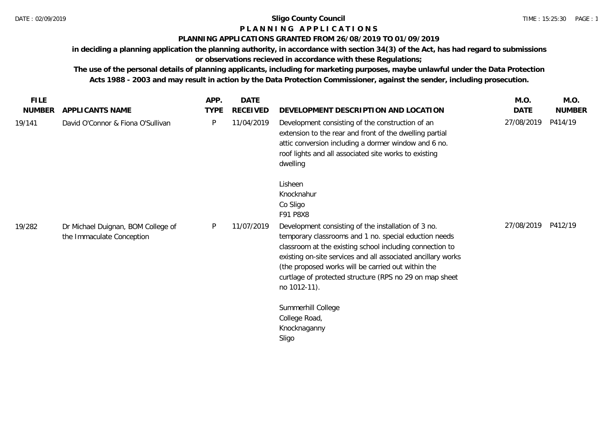# **P L A N N I N G A P P L I C A T I O N S**

# **PLANNING APPLICATIONS GRANTED FROM 26/08/2019 TO 01/09/2019**

**in deciding a planning application the planning authority, in accordance with section 34(3) of the Act, has had regard to submissions** 

**or observations recieved in accordance with these Regulations;**

**The use of the personal details of planning applicants, including for marketing purposes, maybe unlawful under the Data Protection Acts 1988 - 2003 and may result in action by the Data Protection Commissioner, against the sender, including prosecution.**

| <b>FILE</b>   |                                                                 | APP.        | <b>DATE</b>     |                                                                                                                                                                                                                                                                                                                                                                           | M.O.       | M.O.          |
|---------------|-----------------------------------------------------------------|-------------|-----------------|---------------------------------------------------------------------------------------------------------------------------------------------------------------------------------------------------------------------------------------------------------------------------------------------------------------------------------------------------------------------------|------------|---------------|
| <b>NUMBER</b> | APPLICANTS NAME                                                 | <b>TYPE</b> | <b>RECEIVED</b> | DEVELOPMENT DESCRIPTION AND LOCATION                                                                                                                                                                                                                                                                                                                                      | DATE       | <b>NUMBER</b> |
| 19/141        | David O'Connor & Fiona O'Sullivan                               | P           | 11/04/2019      | Development consisting of the construction of an<br>extension to the rear and front of the dwelling partial<br>attic conversion including a dormer window and 6 no.<br>roof lights and all associated site works to existing<br>dwelling                                                                                                                                  | 27/08/2019 | P414/19       |
|               |                                                                 |             |                 | Lisheen<br>Knocknahur<br>Co Sligo<br>F91 P8X8                                                                                                                                                                                                                                                                                                                             |            |               |
| 19/282        | Dr Michael Duignan, BOM College of<br>the Immaculate Conception | P           | 11/07/2019      | Development consisting of the installation of 3 no.<br>temporary classrooms and 1 no. special eduction needs<br>classroom at the existing school including connection to<br>existing on-site services and all associated ancillary works<br>(the proposed works will be carried out within the<br>curtlage of protected structure (RPS no 29 on map sheet<br>no 1012-11). | 27/08/2019 | P412/19       |
|               |                                                                 |             |                 | Summerhill College<br>College Road,<br>Knocknaganny<br>Sligo                                                                                                                                                                                                                                                                                                              |            |               |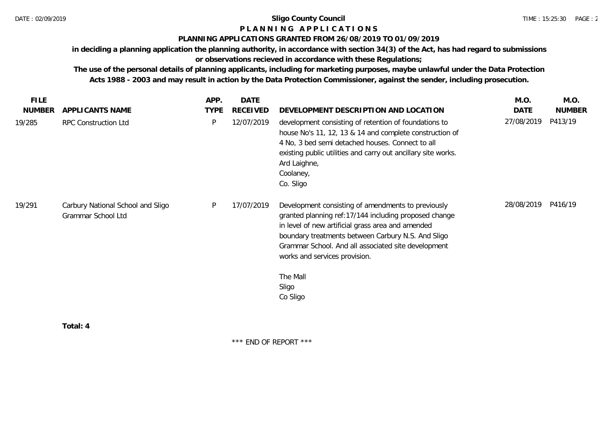# **P L A N N I N G A P P L I C A T I O N S**

### **PLANNING APPLICATIONS GRANTED FROM 26/08/2019 TO 01/09/2019**

**in deciding a planning application the planning authority, in accordance with section 34(3) of the Act, has had regard to submissions** 

**or observations recieved in accordance with these Regulations;**

**The use of the personal details of planning applicants, including for marketing purposes, maybe unlawful under the Data Protection Acts 1988 - 2003 and may result in action by the Data Protection Commissioner, against the sender, including prosecution.**

| <b>FILE</b>   |                                                         | APP.        | DATE            |                                                                                                                                                                                                                                                                                                                                                  | M.O.        | M.O.          |
|---------------|---------------------------------------------------------|-------------|-----------------|--------------------------------------------------------------------------------------------------------------------------------------------------------------------------------------------------------------------------------------------------------------------------------------------------------------------------------------------------|-------------|---------------|
| <b>NUMBER</b> | APPLICANTS NAME                                         | <b>TYPE</b> | <b>RECEIVED</b> | DEVELOPMENT DESCRIPTION AND LOCATION                                                                                                                                                                                                                                                                                                             | <b>DATE</b> | <b>NUMBER</b> |
| 19/285        | RPC Construction Ltd                                    | P           | 12/07/2019      | development consisting of retention of foundations to<br>house No's 11, 12, 13 & 14 and complete construction of<br>4 No, 3 bed semi detached houses. Connect to all<br>existing public utilities and carry out ancillary site works.<br>Ard Laighne,<br>Coolaney,<br>Co. Sligo                                                                  | 27/08/2019  | P413/19       |
| 19/291        | Carbury National School and Sligo<br>Grammar School Ltd | P           | 17/07/2019      | Development consisting of amendments to previously<br>granted planning ref: 17/144 including proposed change<br>in level of new artificial grass area and amended<br>boundary treatments between Carbury N.S. And Sligo<br>Grammar School. And all associated site development<br>works and services provision.<br>The Mall<br>Sligo<br>Co Sligo | 28/08/2019  | P416/19       |
|               | Total: 4                                                |             |                 |                                                                                                                                                                                                                                                                                                                                                  |             |               |

\*\*\* END OF REPORT \*\*\*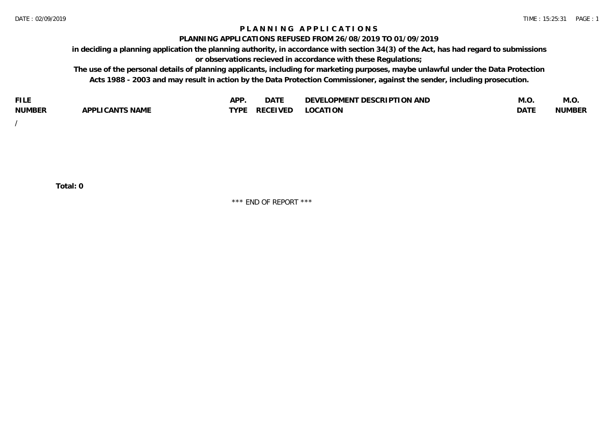### **P L A N N I N G A P P L I C A T I O N S**

#### **PLANNING APPLICATIONS REFUSED FROM 26/08/2019 TO 01/09/2019**

**in deciding a planning application the planning authority, in accordance with section 34(3) of the Act, has had regard to submissions or observations recieved in accordance with these Regulations;**

**The use of the personal details of planning applicants, including for marketing purposes, maybe unlawful under the Data Protection Acts 1988 - 2003 and may result in action by the Data Protection Commissioner, against the sender, including prosecution.**

| <b>FILE</b>   |                                                     | A DE | $\sim$ $\sim$ $\sim$<br>DA I | <b>ENT DESCRIPTION AND</b><br>$\cap$ nn.<br>)E\/F<br>. JIEN L<br>பட | IVI.U       | IVI.U         |
|---------------|-----------------------------------------------------|------|------------------------------|---------------------------------------------------------------------|-------------|---------------|
| <b>NUMBER</b> | <b>ANTS NAME</b><br>A DDI<br>$\sqrt{2}$<br>CAN<br>u | TVDL | ◡⊢                           | <b>OCATION</b>                                                      | <b>DATF</b> | <b>NUMBER</b> |

/

**Total: 0**

\*\*\* END OF REPORT \*\*\*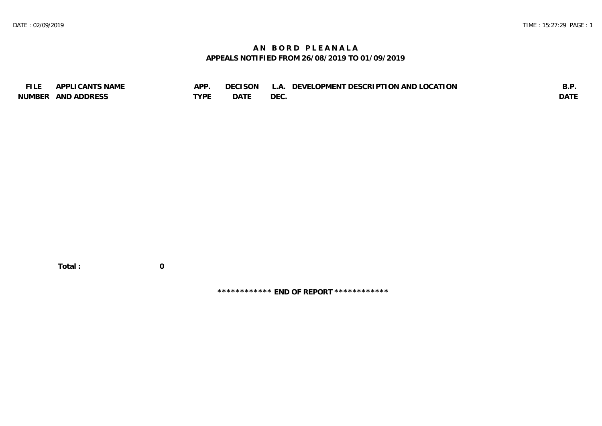# **A N B O R D P L E A N A L A APPEALS NOTIFIED FROM 26/08/2019 TO 01/09/2019**

| <b>FILE</b> | APPLICANTS NAME    | APP  | DECISON L   | L.A. DEVELOPMENT DESCRIPTION AND LOCATION | B.F         |
|-------------|--------------------|------|-------------|-------------------------------------------|-------------|
|             | NUMBER AND ADDRESS | TYPE | <b>DATE</b> | <b>DEC</b>                                | <b>DATE</b> |

 **Total : 0**

**\*\*\*\*\*\*\*\*\*\*\*\* END OF REPORT \*\*\*\*\*\*\*\*\*\*\*\***